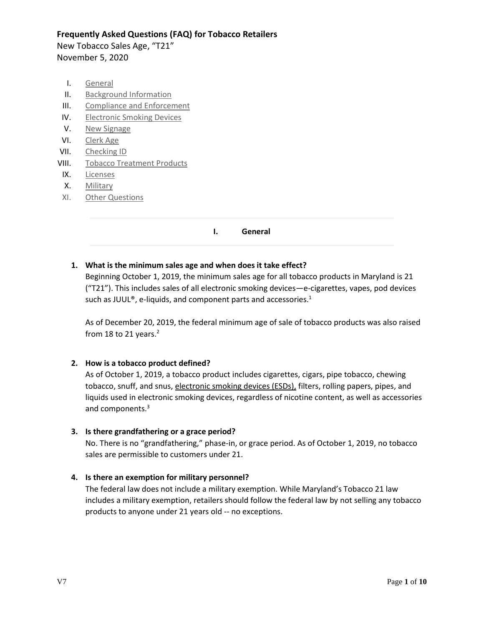New Tobacco Sales Age, "T21" November 5, 2020

- <span id="page-0-0"></span>I. [General](#page-0-0)
- II. [Background Information](#page-1-0)
- III. [Compliance and Enforcement](#page-1-1)
- IV. [Electronic Smoking Devices](#page-3-0)
- V. [New Signage](#page-4-0)
- VI. [Clerk Age](#page-5-0)
- VII. [Checking ID](#page-5-1)
- VIII. [Tobacco Treatment Products](#page-5-2)
- IX. [Licenses](#page-6-0)
- X. [Military](#page-6-1)
- XI. [Other Questions](#page-7-0)

#### **I. General**

# **1. What is the minimum sales age and when does it take effect?**

Beginning October 1, 2019, the minimum sales age for all tobacco products in Maryland is 21 ("T21"). This includes sales of all electronic smoking devices—e-cigarettes, vapes, pod devices such as JUUL<sup>®</sup>, e-liquids, and component parts and accessories.<sup>1</sup>

As of December 20, 2019, the federal minimum age of sale of tobacco products was also raised from 18 to 21 years. $2$ 

## **2. How is a tobacco product defined?**

As of October 1, 2019, a tobacco product includes cigarettes, cigars, pipe tobacco, chewing tobacco, snuff, and snus, electronic smoking devices (ESDs), filters, rolling papers, pipes, and liquids used in electronic smoking devices, regardless of nicotine content, as well as accessories and components.<sup>3</sup>

## **3. Is there grandfathering or a grace period?**

No. There is no "grandfathering," phase-in, or grace period. As of October 1, 2019, no tobacco sales are permissible to customers under 21.

## **4. Is there an exemption for military personnel?**

The federal law does not include a military exemption. While Maryland's Tobacco 21 law includes a military exemption, retailers should follow the federal law by not selling any tobacco products to anyone under 21 years old -- no exceptions.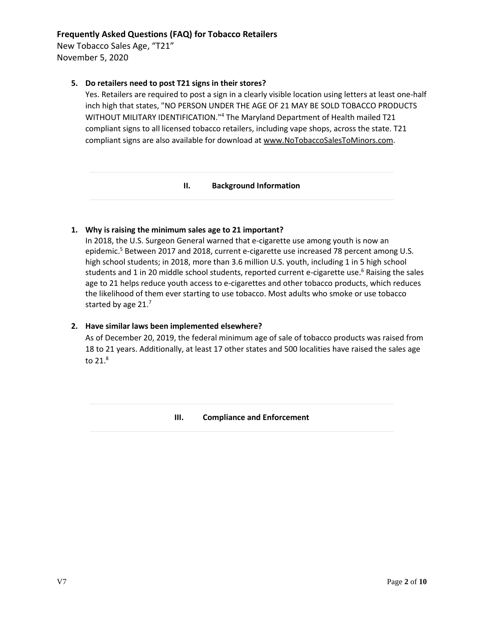New Tobacco Sales Age, "T21" November 5, 2020

# **5. Do retailers need to post T21 signs in their stores?**

Yes. Retailers are required to post a sign in a clearly visible location using letters at least one-half inch high that states, "NO PERSON UNDER THE AGE OF 21 MAY BE SOLD TOBACCO PRODUCTS WITHOUT MILITARY IDENTIFICATION."<sup>4</sup> The Maryland Department of Health mailed T21 compliant signs to all licensed tobacco retailers, including vape shops, across the state. T21 compliant signs are also available for download at [www.NoTobaccoSalesToMinors.com.](http://www.notobaccosalestominors.com/)

#### **II. Background Information**

# <span id="page-1-0"></span>**1. Why is raising the minimum sales age to 21 important?**

In 2018, the U.S. Surgeon General warned that e-cigarette use among youth is now an epidemic.<sup>5</sup> Between 2017 and 2018, current e-cigarette use increased 78 percent among U.S. high school students; in 2018, more than 3.6 million U.S. youth, including 1 in 5 high school students and 1 in 20 middle school students, reported current e-cigarette use.<sup>6</sup> Raising the sales age to 21 helps reduce youth access to e-cigarettes and other tobacco products, which reduces the likelihood of them ever starting to use tobacco. Most adults who smoke or use tobacco started by age 21.7

## **2. Have similar laws been implemented elsewhere?**

<span id="page-1-1"></span>As of December 20, 2019, the federal minimum age of sale of tobacco products was raised from 18 to 21 years. Additionally, at least 17 other states and 500 localities have raised the sales age to 21.8

## **III. Compliance and Enforcement**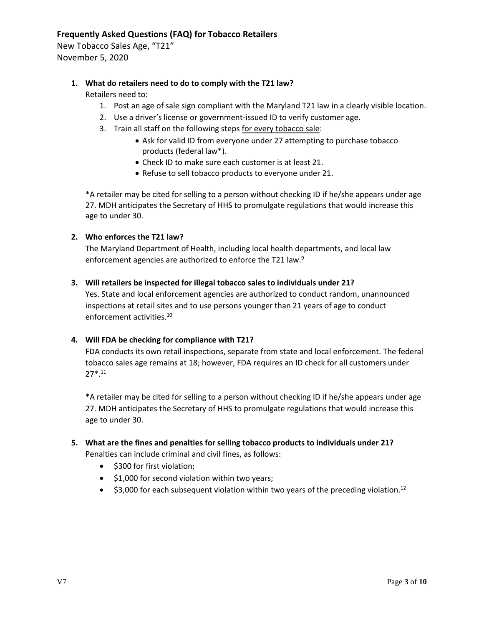New Tobacco Sales Age, "T21" November 5, 2020

# **1. What do retailers need to do to comply with the T21 law?**

Retailers need to:

- 1. Post an age of sale sign compliant with the Maryland T21 law in a clearly visible location.
- 2. Use a driver's license or government-issued ID to verify customer age.
- 3. Train all staff on the following steps for every tobacco sale:
	- Ask for valid ID from everyone under 27 attempting to purchase tobacco products (federal law\*).
	- Check ID to make sure each customer is at least 21.
	- Refuse to sell tobacco products to everyone under 21.

\*A retailer may be cited for selling to a person without checking ID if he/she appears under age 27. MDH anticipates the Secretary of HHS to promulgate regulations that would increase this age to under 30.

# **2. Who enforces the T21 law?**

The Maryland Department of Health, including local health departments, and local law enforcement agencies are authorized to enforce the T21 law.<sup>9</sup>

## **3. Will retailers be inspected for illegal tobacco sales to individuals under 21?**

Yes. State and local enforcement agencies are authorized to conduct random, unannounced inspections at retail sites and to use persons younger than 21 years of age to conduct enforcement activities.<sup>10</sup>

## **4. Will FDA be checking for compliance with T21?**

FDA conducts its own retail inspections, separate from state and local enforcement. The federal tobacco sales age remains at 18; however, FDA requires an ID check for all customers under 27\*. 11

\*A retailer may be cited for selling to a person without checking ID if he/she appears under age 27. MDH anticipates the Secretary of HHS to promulgate regulations that would increase this age to under 30.

# **5. What are the fines and penalties for selling tobacco products to individuals under 21?**

Penalties can include criminal and civil fines, as follows:

- \$300 for first violation;
- \$1,000 for second violation within two years;
- $\bullet$  \$3,000 for each subsequent violation within two years of the preceding violation.<sup>12</sup>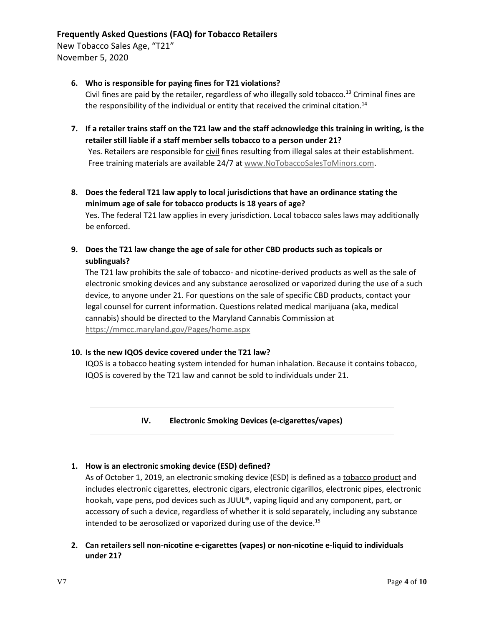New Tobacco Sales Age, "T21" November 5, 2020

# **6. Who is responsible for paying fines for T21 violations?**

Civil fines are paid by the retailer, regardless of who illegally sold tobacco.<sup>13</sup> Criminal fines are the responsibility of the individual or entity that received the criminal citation.<sup>14</sup>

- **7. If a retailer trains staff on the T21 law and the staff acknowledge this training in writing, is the retailer still liable if a staff member sells tobacco to a person under 21?**  Yes. Retailers are responsible for civil fines resulting from illegal sales at their establishment. Free training materials are available 24/7 at [www.NoTobaccoSalesToMinors.com.](http://www.notobaccosalestominors.com/)
- **8. Does the federal T21 law apply to local jurisdictions that have an ordinance stating the minimum age of sale for tobacco products is 18 years of age?**

Yes. The federal T21 law applies in every jurisdiction. Local tobacco sales laws may additionally be enforced.

**9. Does the T21 law change the age of sale for other CBD products such as topicals or sublinguals?**

The T21 law prohibits the sale of tobacco- and nicotine-derived products as well as the sale of electronic smoking devices and any substance aerosolized or vaporized during the use of a such device, to anyone under 21. For questions on the sale of specific CBD products, contact your legal counsel for current information. Questions related medical marijuana (aka, medical cannabis) should be directed to the Maryland Cannabis Commission at <https://mmcc.maryland.gov/Pages/home.aspx>

# **10. Is the new IQOS device covered under the T21 law?**

<span id="page-3-0"></span>IQOS is a tobacco heating system intended for human inhalation. Because it contains tobacco, IQOS is covered by the T21 law and cannot be sold to individuals under 21.

**IV. Electronic Smoking Devices (e-cigarettes/vapes)**

## **1. How is an electronic smoking device (ESD) defined?**

As of October 1, 2019, an electronic smoking device (ESD) is defined as a tobacco product and includes electronic cigarettes, electronic cigars, electronic cigarillos, electronic pipes, electronic hookah, vape pens, pod devices such as JUUL®, vaping liquid and any component, part, or accessory of such a device, regardless of whether it is sold separately, including any substance intended to be aerosolized or vaporized during use of the device.<sup>15</sup>

**2. Can retailers sell non-nicotine e-cigarettes (vapes) or non-nicotine e-liquid to individuals under 21?**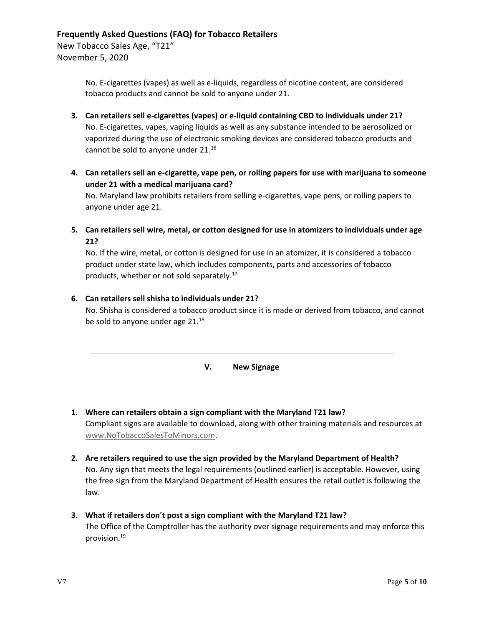New Tobacco Sales Age, "T21" November 5, 2020

> No. E-cigarettes (vapes) as well as e-liquids, regardless of nicotine content, are considered tobacco products and cannot be sold to anyone under 21.

- **3. Can retailers sell e-cigarettes (vapes) or e-liquid containing CBD to individuals under 21?** No. E-cigarettes, vapes, vaping liquids as well as any substance intended to be aerosolized or vaporized during the use of electronic smoking devices are considered tobacco products and cannot be sold to anyone under 21.<sup>16</sup>
- **4. Can retailers sell an e-cigarette, vape pen, or rolling papers for use with marijuana to someone under 21 with a medical marijuana card?** No. Maryland law prohibits retailers from selling e-cigarettes, vape pens, or rolling papers to anyone under age 21.
- **5. Can retailers sell wire, metal, or cotton designed for use in atomizers to individuals under age 21?**

No. If the wire, metal, or cotton is designed for use in an atomizer, it is considered a tobacco product under state law, which includes components, parts and accessories of tobacco products, whether or not sold separately. $17$ 

# **6. Can retailers sell shisha to individuals under 21?**

<span id="page-4-0"></span>No. Shisha is considered a tobacco product since it is made or derived from tobacco, and cannot be sold to anyone under age 21.<sup>18</sup>

**V. New Signage**

- **1. Where can retailers obtain a sign compliant with the Maryland T21 law?** Compliant signs are available to download, along with other training materials and resources at [www.NoTobaccoSalesToMinors.com.](http://www.notobaccosalestominors.com/)
- **2. Are retailers required to use the sign provided by the Maryland Department of Health?** No. Any sign that meets the legal requirements (outlined earlier) is acceptable. However, using the free sign from the Maryland Department of Health ensures the retail outlet is following the law.
- **3. What if retailers don't post a sign compliant with the Maryland T21 law?** The Office of the Comptroller has the authority over signage requirements and may enforce this provision.19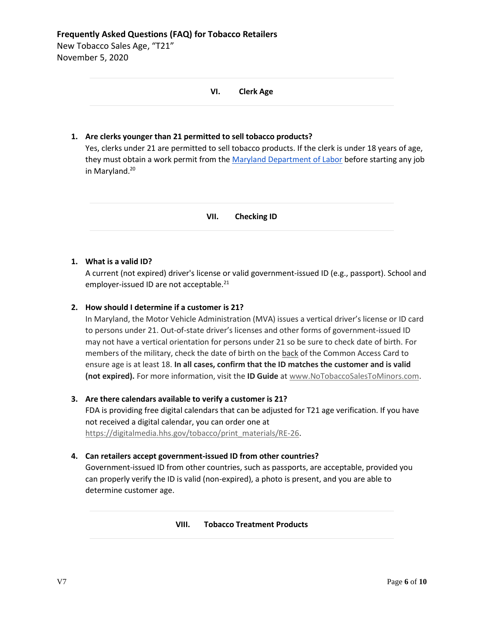New Tobacco Sales Age, "T21" November 5, 2020

<span id="page-5-0"></span>

|      | <b>Clerk Age</b><br>VI.                                                                                                                                                                                                                                                                             |  |
|------|-----------------------------------------------------------------------------------------------------------------------------------------------------------------------------------------------------------------------------------------------------------------------------------------------------|--|
| 1. . | Are clerks younger than 21 permitted to sell tobacco products?<br>Yes, clerks under 21 are permitted to sell tobacco products. If the clerk is under 18 years of age,<br>they must obtain a work permit from the Maryland Department of Labor before starting any job<br>in Maryland. <sup>20</sup> |  |

**VII. Checking ID**

# <span id="page-5-1"></span>**1. What is a valid ID?**

A current (not expired) driver's license or valid government-issued ID (e.g., passport). School and employer-issued ID are not acceptable.<sup>21</sup>

# **2. How should I determine if a customer is 21?**

In Maryland, the Motor Vehicle Administration (MVA) issues a vertical driver's license or ID card to persons under 21. Out-of-state driver's licenses and other forms of government-issued ID may not have a vertical orientation for persons under 21 so be sure to check date of birth. For members of the military, check the date of birth on the back of the Common Access Card to ensure age is at least 18. **In all cases, confirm that the ID matches the customer and is valid (not expired).** For more information, visit the **ID Guide** at [www.NoTobaccoSalesToMinors.com.](file://///fha-hv-fs1/Office/Tobacco/T-21%20Implementation/FAQ/Current/www.NoTobaccoSalesToMinors.com)

# **3. Are there calendars available to verify a customer is 21?**

FDA is providing free digital calendars that can be adjusted for T21 age verification. If you have not received a digital calendar, you can order one at [https://digitalmedia.hhs.gov/tobacco/print\\_materials/RE-26.](https://digitalmedia.hhs.gov/tobacco/print_materials/RE-26)

## **4. Can retailers accept government-issued ID from other countries?**

<span id="page-5-2"></span>Government-issued ID from other countries, such as passports, are acceptable, provided you can properly verify the ID is valid (non-expired), a photo is present, and you are able to determine customer age.

## **VIII. Tobacco Treatment Products**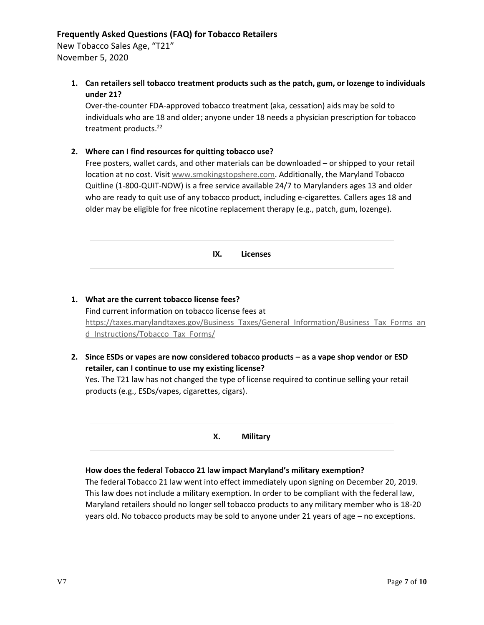New Tobacco Sales Age, "T21" November 5, 2020

> **1. Can retailers sell tobacco treatment products such as the patch, gum, or lozenge to individuals under 21?**

Over-the-counter FDA-approved tobacco treatment (aka, cessation) aids may be sold to individuals who are 18 and older; anyone under 18 needs a physician prescription for tobacco treatment products. 22

## **2. Where can I find resources for quitting tobacco use?**

Free posters, wallet cards, and other materials can be downloaded – or shipped to your retail location at no cost. Visi[t www.smokingstopshere.com.](http://www.smokingstopshere.com/) Additionally, the Maryland Tobacco Quitline (1-800-QUIT-NOW) is a free service available 24/7 to Marylanders ages 13 and older who are ready to quit use of any tobacco product, including e-cigarettes. Callers ages 18 and older may be eligible for free nicotine replacement therapy (e.g., patch, gum, lozenge).

<span id="page-6-0"></span>

| <b>Licenses</b><br>IX. |
|------------------------|
|------------------------|

- **1. What are the current tobacco license fees?** Find current information on tobacco license fees at [https://taxes.marylandtaxes.gov/Business\\_Taxes/General\\_Information/Business\\_Tax\\_Forms\\_an](https://taxes.marylandtaxes.gov/Business_Taxes/General_Information/Business_Tax_Forms_and_Instructions/Tobacco_Tax_Forms/) d Instructions/Tobacco Tax Forms/
- **2. Since ESDs or vapes are now considered tobacco products – as a vape shop vendor or ESD retailer, can I continue to use my existing license?**

<span id="page-6-1"></span>Yes. The T21 law has not changed the type of license required to continue selling your retail products (e.g., ESDs/vapes, cigarettes, cigars).

**X. Military**

## **How does the federal Tobacco 21 law impact Maryland's military exemption?**

The federal Tobacco 21 law went into effect immediately upon signing on December 20, 2019. This law does not include a military exemption. In order to be compliant with the federal law, Maryland retailers should no longer sell tobacco products to any military member who is 18-20 years old. No tobacco products may be sold to anyone under 21 years of age – no exceptions.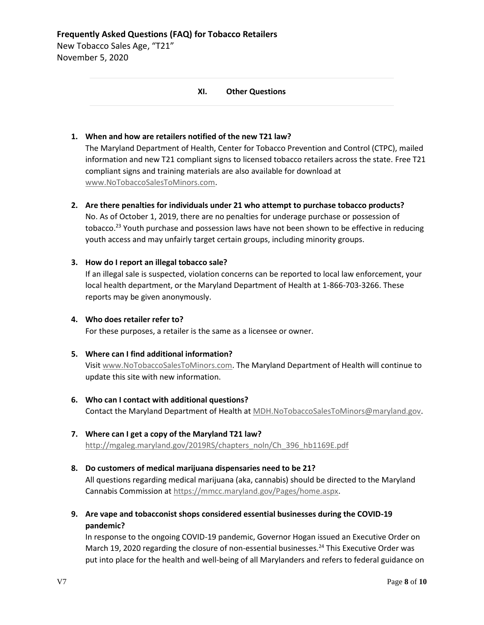<span id="page-7-0"></span>New Tobacco Sales Age, "T21" November 5, 2020

## **XI. Other Questions**

# **1. When and how are retailers notified of the new T21 law?**

The Maryland Department of Health, Center for Tobacco Prevention and Control (CTPC), mailed information and new T21 compliant signs to licensed tobacco retailers across the state. Free T21 compliant signs and training materials are also available for download at [www.NoTobaccoSalesToMinors.com.](http://www.notobaccosalestominors.com/)

## **2. Are there penalties for individuals under 21 who attempt to purchase tobacco products?**

No. As of October 1, 2019, there are no penalties for underage purchase or possession of tobacco.<sup>23</sup> Youth purchase and possession laws have not been shown to be effective in reducing youth access and may unfairly target certain groups, including minority groups.

## **3. How do I report an illegal tobacco sale?**

If an illegal sale is suspected, violation concerns can be reported to local law enforcement, your local health department, or the Maryland Department of Health at 1-866-703-3266. These reports may be given anonymously.

## **4. Who does retailer refer to?**

For these purposes, a retailer is the same as a licensee or owner.

## **5. Where can I find additional information?**

Visit [www.NoTobaccoSalesToMinors.com.](http://www.notobaccosalestominors.com/) The Maryland Department of Health will continue to update this site with new information.

# **6. Who can I contact with additional questions?** Contact the Maryland Department of Health at [MDH.NoTobaccoSalesToMinors@maryland.gov.](mailto:MDH.NoTobaccoSalesToMinors@maryland.gov)

# **7. Where can I get a copy of the Maryland T21 law?** [http://mgaleg.maryland.gov/2019RS/chapters\\_noln/Ch\\_396\\_hb1169E.pdf](http://mgaleg.maryland.gov/2019RS/chapters_noln/Ch_396_hb1169E.pdf)

## **8. Do customers of medical marijuana dispensaries need to be 21?**

All questions regarding medical marijuana (aka, cannabis) should be directed to the Maryland Cannabis Commission a[t https://mmcc.maryland.gov/Pages/home.aspx.](https://mmcc.maryland.gov/Pages/home.aspx)

**9. Are vape and tobacconist shops considered essential businesses during the COVID-19 pandemic?**

In response to the ongoing COVID-19 pandemic, Governor Hogan issued an Executive Order on March 19, 2020 regarding the closure of non-essential businesses.<sup>24</sup> This Executive Order was put into place for the health and well-being of all Marylanders and refers to federal guidance on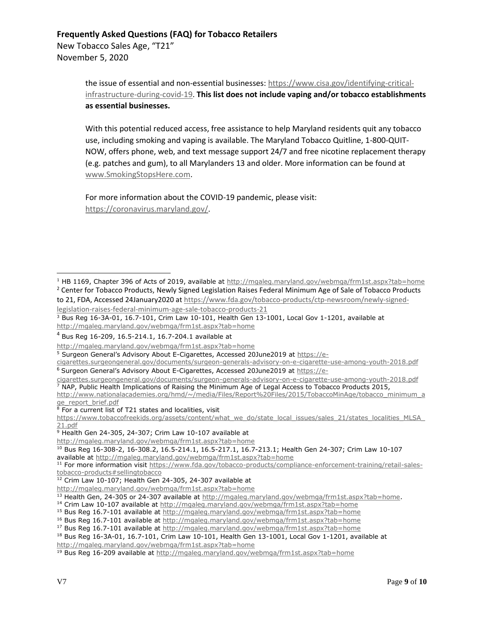New Tobacco Sales Age, "T21" November 5, 2020

> the issue of essential and non-essential businesses: [https://www.cisa.gov/identifying-critical](https://www.cisa.gov/identifying-critical-infrastructure-during-covid-19)[infrastructure-during-covid-19.](https://www.cisa.gov/identifying-critical-infrastructure-during-covid-19) **This list does not include vaping and/or tobacco establishments as essential businesses.**

> With this potential reduced access, free assistance to help Maryland residents quit any tobacco use, including smoking and vaping is available. The Maryland Tobacco Quitline, 1-800-QUIT-NOW, offers phone, web, and text message support 24/7 and free nicotine replacement therapy (e.g. patches and gum), to all Marylanders 13 and older. More information can be found at [www.SmokingStopsHere.com.](file:///G:/T-21%20Implementation/FAQ/Current/www.SmokingStopsHere.com)

For more information about the COVID-19 pandemic, please visit: [https://coronavirus.maryland.gov/.](https://coronavirus.maryland.gov/)

<sup>&</sup>lt;sup>1</sup> HB 1169, Chapter 396 of Acts of 2019, available at<http://mgaleg.maryland.gov/webmga/frm1st.aspx?tab=home> <sup>2</sup> Center for Tobacco Products, Newly Signed Legislation Raises Federal Minimum Age of Sale of Tobacco Products to 21, FDA, Accessed 24January2020 at [https://www.fda.gov/tobacco-products/ctp-newsroom/newly-signed-](https://www.fda.gov/tobacco-products/ctp-newsroom/newly-signed-legislation-raises-federal-minimum-age-sale-tobacco-products-21)

[legislation-raises-federal-minimum-age-sale-tobacco-products-21](https://www.fda.gov/tobacco-products/ctp-newsroom/newly-signed-legislation-raises-federal-minimum-age-sale-tobacco-products-21)

 $3$  Bus Reg 16-3A-01, 16.7-101, Crim Law 10-101, Health Gen 13-1001, Local Gov 1-1201, available at <http://mgaleg.maryland.gov/webmga/frm1st.aspx?tab=home>

<sup>4</sup> Bus Reg 16-209, 16.5-214.1, 16.7-204.1 available at

<http://mgaleg.maryland.gov/webmga/frm1st.aspx?tab=home>

<sup>5</sup> Surgeon General's Advisory About E-Cigarettes, Accessed 20June2019 at [https://e-](https://e-cigarettes.surgeongeneral.gov/documents/surgeon-generals-advisory-on-e-cigarette-use-among-youth-2018.pdf)

[cigarettes.surgeongeneral.gov/documents/surgeon-generals-advisory-on-e-cigarette-use-among-youth-2018.pdf](https://e-cigarettes.surgeongeneral.gov/documents/surgeon-generals-advisory-on-e-cigarette-use-among-youth-2018.pdf)

<sup>&</sup>lt;sup>6</sup> Surgeon General's Advisory About E-Cigarettes, Accessed 20June2019 at [https://e-](https://e-cigarettes.surgeongeneral.gov/documents/surgeon-generals-advisory-on-e-cigarette-use-among-youth-2018.pdf)

[cigarettes.surgeongeneral.gov/documents/surgeon-generals-advisory-on-e-cigarette-use-among-youth-2018.pdf](https://e-cigarettes.surgeongeneral.gov/documents/surgeon-generals-advisory-on-e-cigarette-use-among-youth-2018.pdf)  $^7$  NAP, Public Health Implications of Raising the Minimum Age of Legal Access to Tobacco Products 2015,

[http://www.nationalacademies.org/hmd/~/media/Files/Report%20Files/2015/TobaccoMinAge/tobacco\\_minimum\\_a](http://www.nationalacademies.org/hmd/~/media/Files/Report%20Files/2015/TobaccoMinAge/tobacco_minimum_age_report_brief.pdf) [ge\\_report\\_brief.pdf](http://www.nationalacademies.org/hmd/~/media/Files/Report%20Files/2015/TobaccoMinAge/tobacco_minimum_age_report_brief.pdf)

<sup>8</sup> For a current list of T21 states and localities, visit

[https://www.tobaccofreekids.org/assets/content/what\\_we\\_do/state\\_local\\_issues/sales\\_21/states\\_localities\\_MLSA\\_](https://www.tobaccofreekids.org/assets/content/what_we_do/state_local_issues/sales_21/states_localities_MLSA_21.pdf) [21.pdf](https://www.tobaccofreekids.org/assets/content/what_we_do/state_local_issues/sales_21/states_localities_MLSA_21.pdf)

 $9$  Health Gen 24-305, 24-307; Crim Law 10-107 available at

<http://mgaleg.maryland.gov/webmga/frm1st.aspx?tab=home>

<sup>10</sup> Bus Reg 16-308-2, 16-308.2, 16.5-214.1, 16.5-217.1, 16.7-213.1; Health Gen 24-307; Crim Law 10-107 available at<http://mgaleg.maryland.gov/webmga/frm1st.aspx?tab=home>

<sup>&</sup>lt;sup>11</sup> For more information visi[t https://www.fda.gov/tobacco-products/compliance-enforcement-training/retail-sales](https://www.fda.gov/tobacco-products/compliance-enforcement-training/retail-sales-tobacco-products#sellingtobacco)[tobacco-products#sellingtobacco](https://www.fda.gov/tobacco-products/compliance-enforcement-training/retail-sales-tobacco-products#sellingtobacco)

 $12$  Crim Law 10-107; Health Gen 24-305, 24-307 available at

<http://mgaleg.maryland.gov/webmga/frm1st.aspx?tab=home>

<sup>13</sup> Health Gen, 24-305 or 24-307 available a[t http://mgaleg.maryland.gov/webmga/frm1st.aspx?tab=home.](http://mgaleg.maryland.gov/webmga/frm1st.aspx?tab=home)

<sup>&</sup>lt;sup>14</sup> Crim Law 10-107 available at<http://mgaleg.maryland.gov/webmga/frm1st.aspx?tab=home>

<sup>15</sup> Bus Reg 16.7-101 available at<http://mgaleg.maryland.gov/webmga/frm1st.aspx?tab=home>

<sup>&</sup>lt;sup>16</sup> Bus Reg 16.7-101 available at<http://mgaleg.maryland.gov/webmga/frm1st.aspx?tab=home>

<sup>&</sup>lt;sup>17</sup> Bus Reg 16.7-101 available at<http://mgaleg.maryland.gov/webmga/frm1st.aspx?tab=home>

<sup>&</sup>lt;sup>18</sup> Bus Reg 16-3A-01, 16.7-101, Crim Law 10-101, Health Gen 13-1001, Local Gov 1-1201, available at <http://mgaleg.maryland.gov/webmga/frm1st.aspx?tab=home>

<sup>19</sup> Bus Reg 16-209 available at<http://mgaleg.maryland.gov/webmga/frm1st.aspx?tab=home>